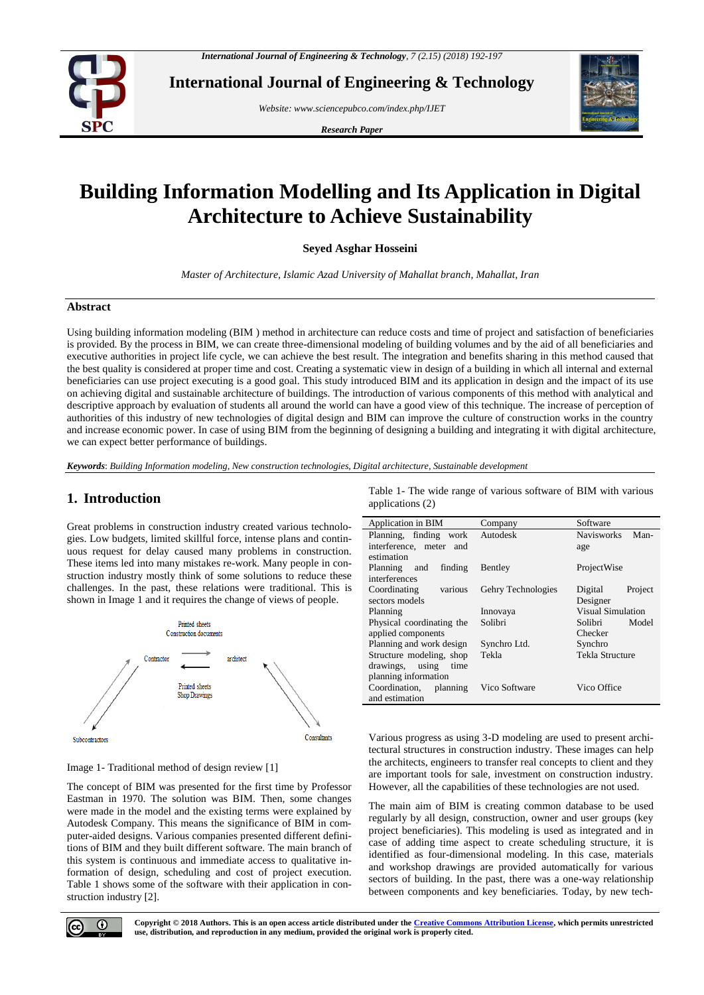

**International Journal of Engineering & Technology**

*Website: www.sciencepubco.com/index.php/IJET*

*Research Paper*



# **Building Information Modelling and Its Application in Digital Architecture to Achieve Sustainability**

**Seyed Asghar Hosseini**

*Master of Architecture, Islamic Azad University of Mahallat branch, Mahallat, Iran*

#### **Abstract**

Using building information modeling (BIM ) method in architecture can reduce costs and time of project and satisfaction of beneficiaries is provided. By the process in BIM, we can create three-dimensional modeling of building volumes and by the aid of all beneficiaries and executive authorities in project life cycle, we can achieve the best result. The integration and benefits sharing in this method caused that the best quality is considered at proper time and cost. Creating a systematic view in design of a building in which all internal and external beneficiaries can use project executing is a good goal. This study introduced BIM and its application in design and the impact of its use on achieving digital and sustainable architecture of buildings. The introduction of various components of this method with analytical and descriptive approach by evaluation of students all around the world can have a good view of this technique. The increase of perception of authorities of this industry of new technologies of digital design and BIM can improve the culture of construction works in the country and increase economic power. In case of using BIM from the beginning of designing a building and integrating it with digital architecture, we can expect better performance of buildings.

*Keywords*: *Building Information modeling, New construction technologies, Digital architecture, Sustainable development*

# **1. Introduction**

Great problems in construction industry created various technologies. Low budgets, limited skillful force, intense plans and continuous request for delay caused many problems in construction. These items led into many mistakes re-work. Many people in construction industry mostly think of some solutions to reduce these challenges. In the past, these relations were traditional. This is shown in Image 1 and it requires the change of views of people.



Image 1- Traditional method of design review [1]

The concept of BIM was presented for the first time by Professor Eastman in 1970. The solution was BIM. Then, some changes were made in the model and the existing terms were explained by Autodesk Company. This means the significance of BIM in computer-aided designs. Various companies presented different definitions of BIM and they built different software. The main branch of this system is continuous and immediate access to qualitative information of design, scheduling and cost of project execution. Table 1 shows some of the software with their application in construction industry [2].

Table 1- The wide range of various software of BIM with various applications (2)

| Application in BIM        | Company            | Software                 |  |  |
|---------------------------|--------------------|--------------------------|--|--|
| Planning, finding work    | Autodesk           | Navisworks Man-          |  |  |
| interference, meter and   |                    | age                      |  |  |
| estimation                |                    |                          |  |  |
| finding<br>Planning and   | Bentley            | ProjectWise              |  |  |
| interferences             |                    |                          |  |  |
| Coordinating<br>various   | Gehry Technologies | Project<br>Digital       |  |  |
| sectors models            |                    | Designer                 |  |  |
| Planning                  | Innovaya           | <b>Visual Simulation</b> |  |  |
| Physical coordinating the | Solibri            | Solibri<br>Model         |  |  |
| applied components        |                    | Checker                  |  |  |
| Planning and work design  | Synchro Ltd.       | Synchro                  |  |  |
| Structure modeling, shop  | Tekla              | Tekla Structure          |  |  |
| drawings, using<br>time   |                    |                          |  |  |
| planning information      |                    |                          |  |  |
| Coordination, planning    | Vico Software      | Vico Office              |  |  |
| and estimation            |                    |                          |  |  |

Various progress as using 3-D modeling are used to present architectural structures in construction industry. These images can help the architects, engineers to transfer real concepts to client and they are important tools for sale, investment on construction industry. However, all the capabilities of these technologies are not used.

The main aim of BIM is creating common database to be used regularly by all design, construction, owner and user groups (key project beneficiaries). This modeling is used as integrated and in case of adding time aspect to create scheduling structure, it is identified as four-dimensional modeling. In this case, materials and workshop drawings are provided automatically for various sectors of building. In the past, there was a one-way relationship between components and key beneficiaries. Today, by new tech-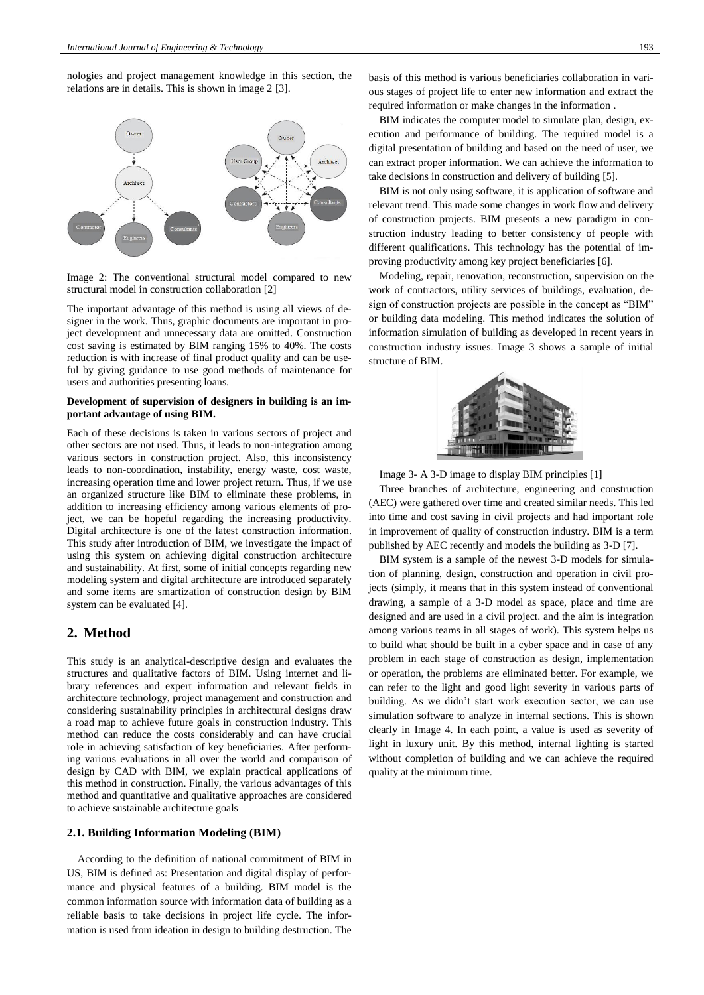nologies and project management knowledge in this section, the relations are in details. This is shown in image 2 [3].



Image 2: The conventional structural model compared to new structural model in construction collaboration [2]

The important advantage of this method is using all views of designer in the work. Thus, graphic documents are important in project development and unnecessary data are omitted. Construction cost saving is estimated by BIM ranging 15% to 40%. The costs reduction is with increase of final product quality and can be useful by giving guidance to use good methods of maintenance for users and authorities presenting loans.

#### **Development of supervision of designers in building is an important advantage of using BIM.**

Each of these decisions is taken in various sectors of project and other sectors are not used. Thus, it leads to non-integration among various sectors in construction project. Also, this inconsistency leads to non-coordination, instability, energy waste, cost waste, increasing operation time and lower project return. Thus, if we use an organized structure like BIM to eliminate these problems, in addition to increasing efficiency among various elements of project, we can be hopeful regarding the increasing productivity. Digital architecture is one of the latest construction information. This study after introduction of BIM, we investigate the impact of using this system on achieving digital construction architecture and sustainability. At first, some of initial concepts regarding new modeling system and digital architecture are introduced separately and some items are smartization of construction design by BIM system can be evaluated [4].

### **2. Method**

This study is an analytical-descriptive design and evaluates the structures and qualitative factors of BIM. Using internet and library references and expert information and relevant fields in architecture technology, project management and construction and considering sustainability principles in architectural designs draw a road map to achieve future goals in construction industry. This method can reduce the costs considerably and can have crucial role in achieving satisfaction of key beneficiaries. After performing various evaluations in all over the world and comparison of design by CAD with BIM, we explain practical applications of this method in construction. Finally, the various advantages of this method and quantitative and qualitative approaches are considered to achieve sustainable architecture goals

#### **2.1. Building Information Modeling (BIM)**

According to the definition of national commitment of BIM in US, BIM is defined as: Presentation and digital display of performance and physical features of a building. BIM model is the common information source with information data of building as a reliable basis to take decisions in project life cycle. The information is used from ideation in design to building destruction. The basis of this method is various beneficiaries collaboration in various stages of project life to enter new information and extract the required information or make changes in the information .

BIM indicates the computer model to simulate plan, design, execution and performance of building. The required model is a digital presentation of building and based on the need of user, we can extract proper information. We can achieve the information to take decisions in construction and delivery of building [5].

BIM is not only using software, it is application of software and relevant trend. This made some changes in work flow and delivery of construction projects. BIM presents a new paradigm in construction industry leading to better consistency of people with different qualifications. This technology has the potential of improving productivity among key project beneficiaries [6].

Modeling, repair, renovation, reconstruction, supervision on the work of contractors, utility services of buildings, evaluation, design of construction projects are possible in the concept as "BIM" or building data modeling. This method indicates the solution of information simulation of building as developed in recent years in construction industry issues. Image 3 shows a sample of initial structure of BIM.



Image 3- A 3-D image to display BIM principles [1]

Three branches of architecture, engineering and construction (AEC) were gathered over time and created similar needs. This led into time and cost saving in civil projects and had important role in improvement of quality of construction industry. BIM is a term published by AEC recently and models the building as 3-D [7].

BIM system is a sample of the newest 3-D models for simulation of planning, design, construction and operation in civil projects (simply, it means that in this system instead of conventional drawing, a sample of a 3-D model as space, place and time are designed and are used in a civil project. and the aim is integration among various teams in all stages of work). This system helps us to build what should be built in a cyber space and in case of any problem in each stage of construction as design, implementation or operation, the problems are eliminated better. For example, we can refer to the light and good light severity in various parts of building. As we didn't start work execution sector, we can use simulation software to analyze in internal sections. This is shown clearly in Image 4. In each point, a value is used as severity of light in luxury unit. By this method, internal lighting is started without completion of building and we can achieve the required quality at the minimum time.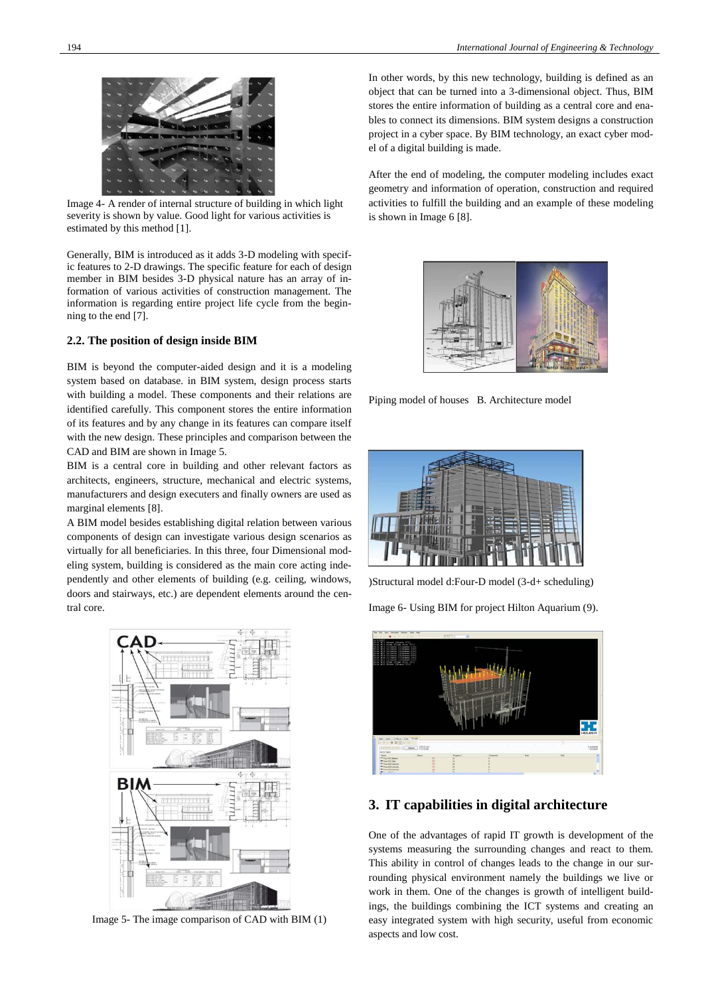

Image 4- A render of internal structure of building in which light severity is shown by value. Good light for various activities is estimated by this method [1].

Generally, BIM is introduced as it adds 3-D modeling with specific features to 2-D drawings. The specific feature for each of design member in BIM besides 3-D physical nature has an array of information of various activities of construction management. The information is regarding entire project life cycle from the beginning to the end [7].

#### **2.2. The position of design inside BIM**

BIM is beyond the computer-aided design and it is a modeling system based on database. in BIM system, design process starts with building a model. These components and their relations are identified carefully. This component stores the entire information of its features and by any change in its features can compare itself with the new design. These principles and comparison between the CAD and BIM are shown in Image 5.

BIM is a central core in building and other relevant factors as architects, engineers, structure, mechanical and electric systems, manufacturers and design executers and finally owners are used as marginal elements [8].

A BIM model besides establishing digital relation between various components of design can investigate various design scenarios as virtually for all beneficiaries. In this three, four Dimensional modeling system, building is considered as the main core acting independently and other elements of building (e.g. ceiling, windows, doors and stairways, etc.) are dependent elements around the central core.



Image 5- The image comparison of CAD with BIM (1)

In other words, by this new technology, building is defined as an object that can be turned into a 3-dimensional object. Thus, BIM stores the entire information of building as a central core and enables to connect its dimensions. BIM system designs a construction project in a cyber space. By BIM technology, an exact cyber model of a digital building is made.

After the end of modeling, the computer modeling includes exact geometry and information of operation, construction and required activities to fulfill the building and an example of these modeling is shown in Image 6 [8].



Piping model of houses B. Architecture model



)Structural model d:Four-D model (3-d+ scheduling)

Image 6- Using BIM for project Hilton Aquarium (9).



## **3. IT capabilities in digital architecture**

One of the advantages of rapid IT growth is development of the systems measuring the surrounding changes and react to them. This ability in control of changes leads to the change in our surrounding physical environment namely the buildings we live or work in them. One of the changes is growth of intelligent buildings, the buildings combining the ICT systems and creating an easy integrated system with high security, useful from economic aspects and low cost.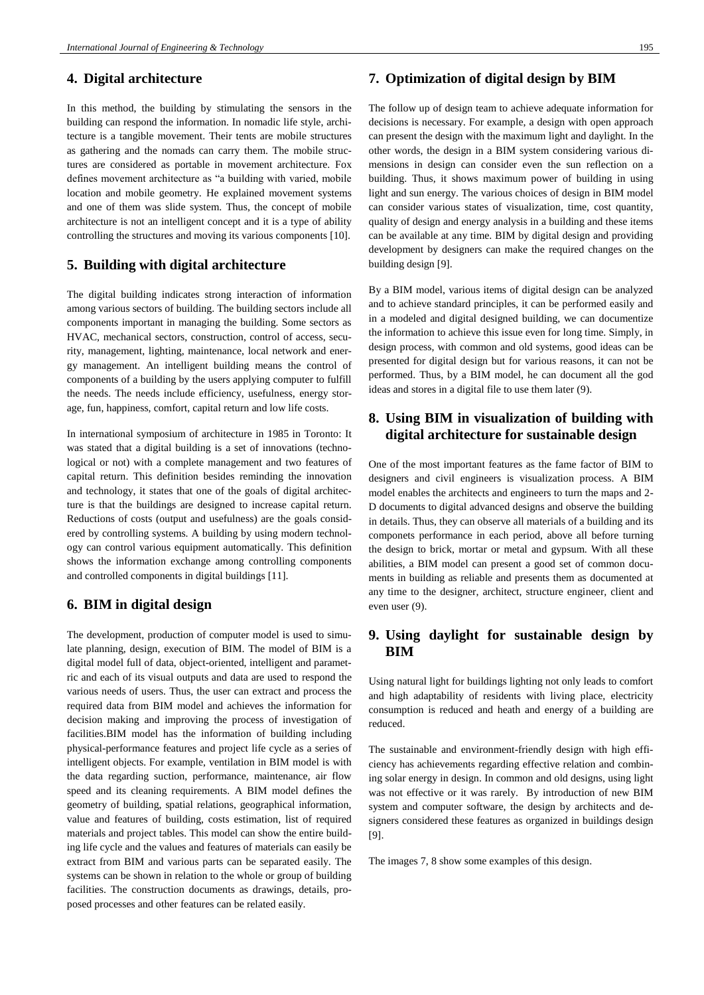#### **4. Digital architecture**

In this method, the building by stimulating the sensors in the building can respond the information. In nomadic life style, architecture is a tangible movement. Their tents are mobile structures as gathering and the nomads can carry them. The mobile structures are considered as portable in movement architecture. Fox defines movement architecture as "a building with varied, mobile location and mobile geometry. He explained movement systems and one of them was slide system. Thus, the concept of mobile architecture is not an intelligent concept and it is a type of ability controlling the structures and moving its various components [10].

## **5. Building with digital architecture**

The digital building indicates strong interaction of information among various sectors of building. The building sectors include all components important in managing the building. Some sectors as HVAC, mechanical sectors, construction, control of access, security, management, lighting, maintenance, local network and energy management. An intelligent building means the control of components of a building by the users applying computer to fulfill the needs. The needs include efficiency, usefulness, energy storage, fun, happiness, comfort, capital return and low life costs.

In international symposium of architecture in 1985 in Toronto: It was stated that a digital building is a set of innovations (technological or not) with a complete management and two features of capital return. This definition besides reminding the innovation and technology, it states that one of the goals of digital architecture is that the buildings are designed to increase capital return. Reductions of costs (output and usefulness) are the goals considered by controlling systems. A building by using modern technology can control various equipment automatically. This definition shows the information exchange among controlling components and controlled components in digital buildings [11].

## **6. BIM in digital design**

The development, production of computer model is used to simulate planning, design, execution of BIM. The model of BIM is a digital model full of data, object-oriented, intelligent and parametric and each of its visual outputs and data are used to respond the various needs of users. Thus, the user can extract and process the required data from BIM model and achieves the information for decision making and improving the process of investigation of facilities.BIM model has the information of building including physical-performance features and project life cycle as a series of intelligent objects. For example, ventilation in BIM model is with the data regarding suction, performance, maintenance, air flow speed and its cleaning requirements. A BIM model defines the geometry of building, spatial relations, geographical information, value and features of building, costs estimation, list of required materials and project tables. This model can show the entire building life cycle and the values and features of materials can easily be extract from BIM and various parts can be separated easily. The systems can be shown in relation to the whole or group of building facilities. The construction documents as drawings, details, proposed processes and other features can be related easily.

## **7. Optimization of digital design by BIM**

The follow up of design team to achieve adequate information for decisions is necessary. For example, a design with open approach can present the design with the maximum light and daylight. In the other words, the design in a BIM system considering various dimensions in design can consider even the sun reflection on a building. Thus, it shows maximum power of building in using light and sun energy. The various choices of design in BIM model can consider various states of visualization, time, cost quantity, quality of design and energy analysis in a building and these items can be available at any time. BIM by digital design and providing development by designers can make the required changes on the building design [9].

By a BIM model, various items of digital design can be analyzed and to achieve standard principles, it can be performed easily and in a modeled and digital designed building, we can documentize the information to achieve this issue even for long time. Simply, in design process, with common and old systems, good ideas can be presented for digital design but for various reasons, it can not be performed. Thus, by a BIM model, he can document all the god ideas and stores in a digital file to use them later (9).

# **8. Using BIM in visualization of building with digital architecture for sustainable design**

One of the most important features as the fame factor of BIM to designers and civil engineers is visualization process. A BIM model enables the architects and engineers to turn the maps and 2- D documents to digital advanced designs and observe the building in details. Thus, they can observe all materials of a building and its componets performance in each period, above all before turning the design to brick, mortar or metal and gypsum. With all these abilities, a BIM model can present a good set of common documents in building as reliable and presents them as documented at any time to the designer, architect, structure engineer, client and even user (9).

# **9. Using daylight for sustainable design by BIM**

Using natural light for buildings lighting not only leads to comfort and high adaptability of residents with living place, electricity consumption is reduced and heath and energy of a building are reduced.

The sustainable and environment-friendly design with high efficiency has achievements regarding effective relation and combining solar energy in design. In common and old designs, using light was not effective or it was rarely. By introduction of new BIM system and computer software, the design by architects and designers considered these features as organized in buildings design [9].

The images 7, 8 show some examples of this design.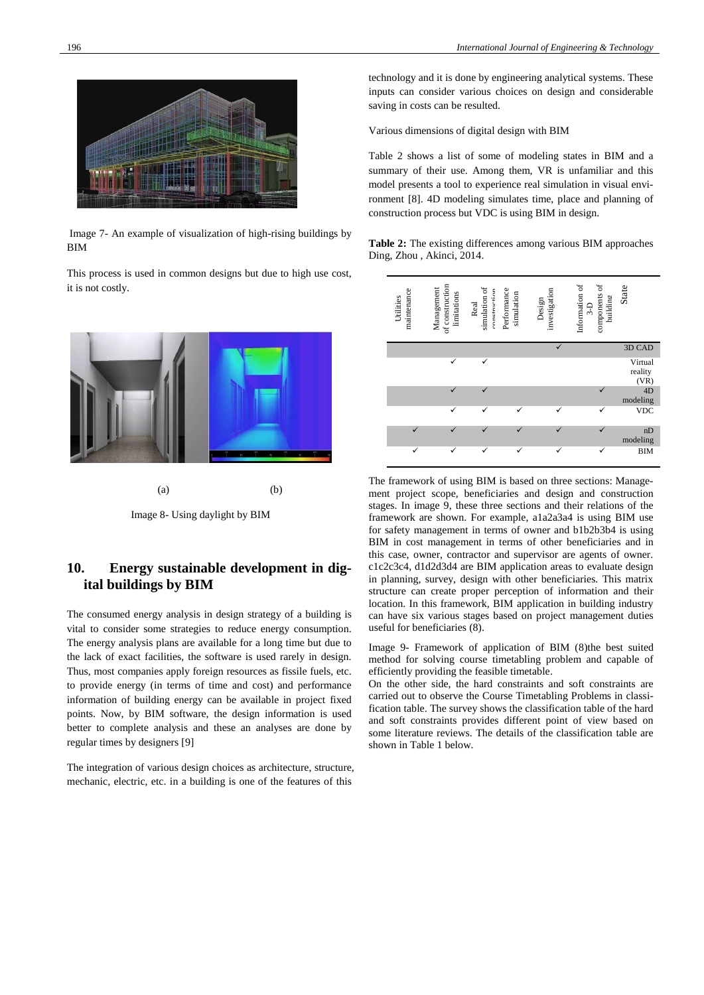

Image 7- An example of visualization of high-rising buildings by **BIM** 

This process is used in common designs but due to high use cost, it is not costly.



 $(a)$  (b)

Image 8- Using daylight by BIM

# **10. Energy sustainable development in digital buildings by BIM**

The consumed energy analysis in design strategy of a building is vital to consider some strategies to reduce energy consumption. The energy analysis plans are available for a long time but due to the lack of exact facilities, the software is used rarely in design. Thus, most companies apply foreign resources as fissile fuels, etc. to provide energy (in terms of time and cost) and performance information of building energy can be available in project fixed points. Now, by BIM software, the design information is used better to complete analysis and these an analyses are done by regular times by designers [9]

The integration of various design choices as architecture, structure, mechanic, electric, etc. in a building is one of the features of this

technology and it is done by engineering analytical systems. These inputs can consider various choices on design and considerable saving in costs can be resulted.

Various dimensions of digital design with BIM

Table 2 shows a list of some of modeling states in BIM and a summary of their use. Among them, VR is unfamiliar and this model presents a tool to experience real simulation in visual environment [8]. 4D modeling simulates time, place and planning of construction process but VDC is using BIM in design.

**Table 2:** The existing differences among various BIM approaches Ding, Zhou , Akinci, 2014.

| maintenance<br>Utilities | of construction<br>Management<br>limitations | simulation of<br>oonetruction<br>Real | Performance<br>simulation | investigation<br>Design | components of<br>Information of<br>building<br>$3-D$ | State                      |
|--------------------------|----------------------------------------------|---------------------------------------|---------------------------|-------------------------|------------------------------------------------------|----------------------------|
|                          |                                              |                                       |                           |                         |                                                      | 3D CAD                     |
|                          |                                              | ✓                                     |                           |                         |                                                      | Virtual<br>reality<br>(VR) |
|                          |                                              |                                       |                           |                         |                                                      | 4D<br>modeling             |
|                          | ✓                                            | ✓                                     | ✓                         | ✓                       | ✓                                                    | <b>VDC</b>                 |
|                          |                                              |                                       | ✓                         |                         |                                                      | nD<br>modeling             |
| $\checkmark$             |                                              |                                       | ✓                         | ✓                       | ✓                                                    | <b>BIM</b>                 |

The framework of using BIM is based on three sections: Management project scope, beneficiaries and design and construction stages. In image 9, these three sections and their relations of the framework are shown. For example, a1a2a3a4 is using BIM use for safety management in terms of owner and b1b2b3b4 is using BIM in cost management in terms of other beneficiaries and in this case, owner, contractor and supervisor are agents of owner. c1c2c3c4, d1d2d3d4 are BIM application areas to evaluate design in planning, survey, design with other beneficiaries. This matrix structure can create proper perception of information and their location. In this framework, BIM application in building industry can have six various stages based on project management duties useful for beneficiaries (8).

Image 9- Framework of application of BIM (8)the best suited method for solving course timetabling problem and capable of efficiently providing the feasible timetable.

On the other side, the hard constraints and soft constraints are carried out to observe the Course Timetabling Problems in classification table. The survey shows the classification table of the hard and soft constraints provides different point of view based on some literature reviews. The details of the classification table are shown in Table 1 below.